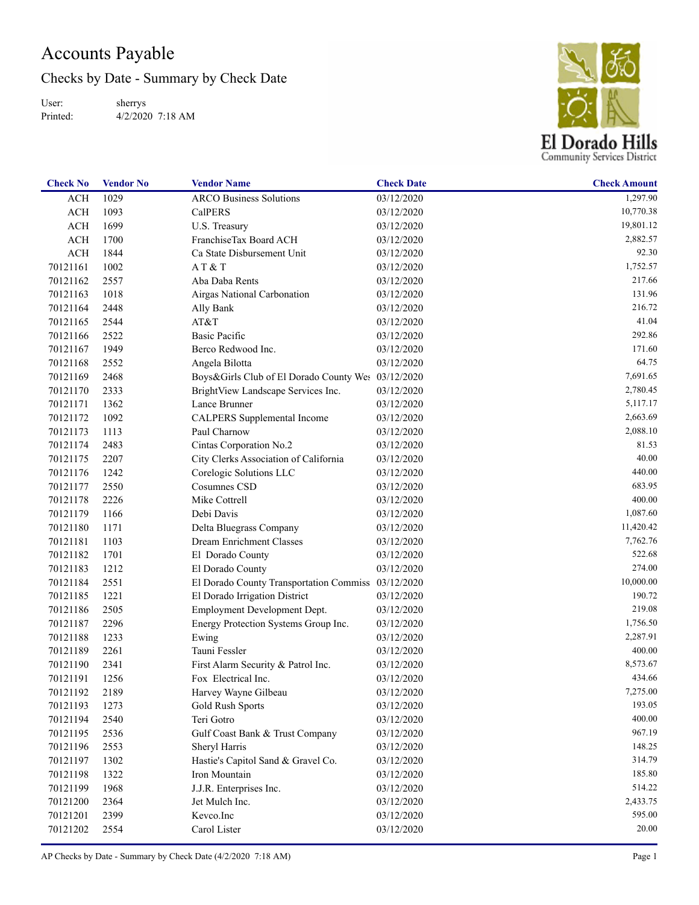## Accounts Payable

Checks by Date - Summary by Check Date

User: Printed: sherrys 4/2/2020 7:18 AM



| 03/12/2020<br>ACH<br>1029<br><b>ARCO Business Solutions</b><br>ACH<br>1093<br><b>CalPERS</b><br>03/12/2020 | 1,297.90<br>10,770.38 |
|------------------------------------------------------------------------------------------------------------|-----------------------|
|                                                                                                            |                       |
|                                                                                                            |                       |
| 1699<br>ACH<br>U.S. Treasury<br>03/12/2020                                                                 | 19,801.12             |
| FranchiseTax Board ACH<br>ACH<br>1700<br>03/12/2020                                                        | 2,882.57              |
| $\rm ACH$<br>1844<br>Ca State Disbursement Unit<br>03/12/2020                                              | 92.30                 |
| 1002<br>70121161<br>AT & T<br>03/12/2020                                                                   | 1,752.57              |
| 2557<br>70121162<br>Aba Daba Rents<br>03/12/2020                                                           | 217.66                |
| 70121163<br>1018<br>Airgas National Carbonation<br>03/12/2020                                              | 131.96                |
| 70121164<br>2448<br>03/12/2020<br>Ally Bank                                                                | 216.72                |
| 2544<br>70121165<br>AT&T<br>03/12/2020                                                                     | 41.04                 |
| 2522<br><b>Basic Pacific</b><br>70121166<br>03/12/2020                                                     | 292.86                |
| 1949<br>Berco Redwood Inc.<br>70121167<br>03/12/2020                                                       | 171.60                |
| 70121168<br>2552<br>Angela Bilotta<br>03/12/2020                                                           | 64.75                 |
| 70121169<br>2468<br>Boys&Girls Club of El Dorado County Wes 03/12/2020                                     | 7,691.65              |
| 70121170<br>2333<br>BrightView Landscape Services Inc.<br>03/12/2020                                       | 2,780.45              |
| 70121171<br>1362<br>Lance Brunner<br>03/12/2020                                                            | 5,117.17              |
| 1092<br>70121172<br>CALPERS Supplemental Income<br>03/12/2020                                              | 2,663.69              |
| 70121173<br>1113<br>Paul Charnow<br>03/12/2020                                                             | 2,088.10              |
| 70121174<br>2483<br>Cintas Corporation No.2<br>03/12/2020                                                  | 81.53                 |
| 70121175<br>2207<br>City Clerks Association of California<br>03/12/2020                                    | 40.00                 |
| 70121176<br>1242<br>Corelogic Solutions LLC<br>03/12/2020                                                  | 440.00                |
| 2550<br>70121177<br>Cosumnes CSD<br>03/12/2020                                                             | 683.95                |
| 2226<br>Mike Cottrell<br>70121178<br>03/12/2020                                                            | 400.00                |
| 70121179<br>1166<br>Debi Davis<br>03/12/2020                                                               | 1,087.60              |
| 70121180<br>1171<br>Delta Bluegrass Company<br>03/12/2020                                                  | 11,420.42             |
| 70121181<br>1103<br>Dream Enrichment Classes<br>03/12/2020                                                 | 7,762.76              |
| 70121182<br>1701<br>El Dorado County<br>03/12/2020                                                         | 522.68                |
| 70121183<br>1212<br>El Dorado County<br>03/12/2020                                                         | 274.00                |
| 2551<br>70121184<br>El Dorado County Transportation Commiss 03/12/2020                                     | 10,000.00             |
| 1221<br>70121185<br>El Dorado Irrigation District<br>03/12/2020                                            | 190.72                |
| 2505<br>70121186<br>Employment Development Dept.<br>03/12/2020                                             | 219.08                |
| 70121187<br>2296<br>Energy Protection Systems Group Inc.<br>03/12/2020                                     | 1,756.50              |
| 70121188<br>1233<br>Ewing<br>03/12/2020                                                                    | 2,287.91              |
| 2261<br>Tauni Fessler<br>70121189<br>03/12/2020                                                            | 400.00                |
| 70121190<br>2341<br>First Alarm Security & Patrol Inc.<br>03/12/2020                                       | 8,573.67              |
| 70121191<br>1256<br>Fox Electrical Inc.<br>03/12/2020                                                      | 434.66                |
| 70121192<br>2189<br>Harvey Wayne Gilbeau<br>03/12/2020                                                     | 7,275.00              |
| 70121193<br>1273<br>Gold Rush Sports<br>03/12/2020                                                         | 193.05                |
| 2540<br>Teri Gotro<br>70121194<br>03/12/2020                                                               | 400.00                |
| 2536<br>70121195<br>Gulf Coast Bank & Trust Company<br>03/12/2020                                          | 967.19                |
| 2553<br>70121196<br>Sheryl Harris<br>03/12/2020                                                            | 148.25                |
| Hastie's Capitol Sand & Gravel Co.<br>70121197<br>1302<br>03/12/2020                                       | 314.79                |
| 1322<br>Iron Mountain<br>70121198<br>03/12/2020                                                            | 185.80                |
| 1968<br>70121199<br>J.J.R. Enterprises Inc.<br>03/12/2020                                                  | 514.22                |
| 2364<br>70121200<br>Jet Mulch Inc.<br>03/12/2020                                                           | 2,433.75              |
| 2399<br>Kevco.Inc<br>70121201<br>03/12/2020                                                                | 595.00                |
| 2554<br>Carol Lister<br>70121202<br>03/12/2020                                                             | 20.00                 |

AP Checks by Date - Summary by Check Date (4/2/2020 7:18 AM) Page 1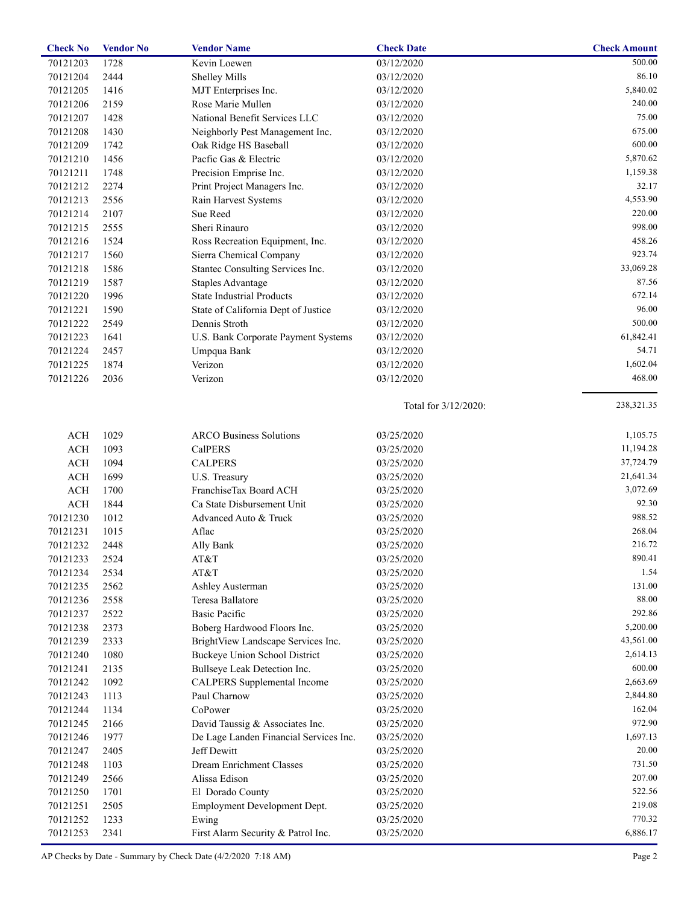| 03/12/2020<br>70121203<br>1728<br>Kevin Loewen<br>500.00<br>2444<br>86.10<br>70121204<br><b>Shelley Mills</b><br>03/12/2020<br>1416<br>MJT Enterprises Inc.<br>5,840.02<br>70121205<br>03/12/2020<br>2159<br>Rose Marie Mullen<br>240.00<br>70121206<br>03/12/2020<br>National Benefit Services LLC<br>75.00<br>70121207<br>1428<br>03/12/2020<br>675.00<br>70121208<br>1430<br>Neighborly Pest Management Inc.<br>03/12/2020<br>600.00<br>70121209<br>1742<br>Oak Ridge HS Baseball<br>03/12/2020<br>Pacfic Gas & Electric<br>5,870.62<br>70121210<br>1456<br>03/12/2020<br>Precision Emprise Inc.<br>70121211<br>1748<br>03/12/2020<br>1,159.38<br>2274<br>32.17<br>70121212<br>Print Project Managers Inc.<br>03/12/2020<br>2556<br>4,553.90<br>70121213<br>Rain Harvest Systems<br>03/12/2020<br>2107<br>Sue Reed<br>220.00<br>70121214<br>03/12/2020<br>2555<br>Sheri Rinauro<br>998.00<br>70121215<br>03/12/2020<br>1524<br>458.26<br>70121216<br>Ross Recreation Equipment, Inc.<br>03/12/2020<br>923.74<br>70121217<br>1560<br>Sierra Chemical Company<br>03/12/2020<br>1586<br>Stantec Consulting Services Inc.<br>33,069.28<br>70121218<br>03/12/2020<br>1587<br>87.56<br>70121219<br><b>Staples Advantage</b><br>03/12/2020<br><b>State Industrial Products</b><br>672.14<br>70121220<br>1996<br>03/12/2020<br>96.00<br>70121221<br>1590<br>State of California Dept of Justice<br>03/12/2020<br>2549<br>Dennis Stroth<br>500.00<br>70121222<br>03/12/2020<br>61,842.41<br>70121223<br>1641<br>U.S. Bank Corporate Payment Systems<br>03/12/2020<br>54.71<br>70121224<br>2457<br>Umpqua Bank<br>03/12/2020<br>1874<br>Verizon<br>1,602.04<br>70121225<br>03/12/2020<br>2036<br>Verizon<br>468.00<br>70121226<br>03/12/2020<br>238,321.35<br>Total for 3/12/2020:<br>1029<br>1,105.75<br><b>ACH</b><br><b>ARCO Business Solutions</b><br>03/25/2020<br><b>ACH</b><br>11,194.28<br>1093<br><b>CalPERS</b><br>03/25/2020<br>37,724.79<br>ACH<br>1094<br><b>CALPERS</b><br>03/25/2020<br>$\rm ACH$<br>1699<br>21,641.34<br>U.S. Treasury<br>03/25/2020<br>3,072.69<br><b>ACH</b><br>1700<br>FranchiseTax Board ACH<br>03/25/2020<br>1844<br>92.30<br>ACH<br>Ca State Disbursement Unit<br>03/25/2020<br>988.52<br>70121230<br>1012<br>Advanced Auto & Truck<br>03/25/2020<br>268.04<br>Aflac<br>70121231<br>1015<br>03/25/2020<br>216.72<br>70121232<br>2448<br>Ally Bank<br>03/25/2020<br>70121233<br>2524<br>AT&T<br>03/25/2020<br>890.41<br>1.54<br>70121234<br>2534<br>AT&T<br>03/25/2020<br>131.00<br>70121235<br>2562<br>03/25/2020<br>Ashley Austerman<br>88.00<br>70121236<br>2558<br>Teresa Ballatore<br>03/25/2020<br>292.86<br><b>Basic Pacific</b><br>70121237<br>2522<br>03/25/2020<br>5,200.00<br>70121238<br>2373<br>Boberg Hardwood Floors Inc.<br>03/25/2020<br>43,561.00<br>70121239<br>2333<br>BrightView Landscape Services Inc.<br>03/25/2020<br>2,614.13<br>70121240<br>1080<br>Buckeye Union School District<br>03/25/2020<br>600.00<br>70121241<br>2135<br>Bullseye Leak Detection Inc.<br>03/25/2020<br>2,663.69<br>70121242<br>1092<br>CALPERS Supplemental Income<br>03/25/2020<br>2,844.80<br>70121243<br>1113<br>Paul Charnow<br>03/25/2020<br>CoPower<br>162.04<br>70121244<br>1134<br>03/25/2020<br>972.90<br>70121245<br>2166<br>David Taussig & Associates Inc.<br>03/25/2020<br>1,697.13<br>70121246<br>1977<br>De Lage Landen Financial Services Inc.<br>03/25/2020<br>Jeff Dewitt<br>20.00<br>70121247<br>2405<br>03/25/2020<br><b>Dream Enrichment Classes</b><br>731.50<br>70121248<br>1103<br>03/25/2020<br>207.00<br>Alissa Edison<br>2566<br>70121249<br>03/25/2020<br>522.56<br>70121250<br>1701<br>El Dorado County<br>03/25/2020<br>219.08<br>2505<br>Employment Development Dept.<br>70121251<br>03/25/2020<br>770.32<br>70121252<br>1233<br>03/25/2020<br>Ewing<br>6,886.17<br>First Alarm Security & Patrol Inc.<br>70121253<br>2341<br>03/25/2020 | <b>Check No</b> | <b>Vendor No</b> | <b>Vendor Name</b> | <b>Check Date</b> | <b>Check Amount</b> |
|----------------------------------------------------------------------------------------------------------------------------------------------------------------------------------------------------------------------------------------------------------------------------------------------------------------------------------------------------------------------------------------------------------------------------------------------------------------------------------------------------------------------------------------------------------------------------------------------------------------------------------------------------------------------------------------------------------------------------------------------------------------------------------------------------------------------------------------------------------------------------------------------------------------------------------------------------------------------------------------------------------------------------------------------------------------------------------------------------------------------------------------------------------------------------------------------------------------------------------------------------------------------------------------------------------------------------------------------------------------------------------------------------------------------------------------------------------------------------------------------------------------------------------------------------------------------------------------------------------------------------------------------------------------------------------------------------------------------------------------------------------------------------------------------------------------------------------------------------------------------------------------------------------------------------------------------------------------------------------------------------------------------------------------------------------------------------------------------------------------------------------------------------------------------------------------------------------------------------------------------------------------------------------------------------------------------------------------------------------------------------------------------------------------------------------------------------------------------------------------------------------------------------------------------------------------------------------------------------------------------------------------------------------------------------------------------------------------------------------------------------------------------------------------------------------------------------------------------------------------------------------------------------------------------------------------------------------------------------------------------------------------------------------------------------------------------------------------------------------------------------------------------------------------------------------------------------------------------------------------------------------------------------------------------------------------------------------------------------------------------------------------------------------------------------------------------------------------------------------------------------------------------------------------------------------------------------------------------------------------------------------------------------------------------------------------------------------------------------------------------------------------------------------------------------------------------------------------------------------------------------------------------------------|-----------------|------------------|--------------------|-------------------|---------------------|
|                                                                                                                                                                                                                                                                                                                                                                                                                                                                                                                                                                                                                                                                                                                                                                                                                                                                                                                                                                                                                                                                                                                                                                                                                                                                                                                                                                                                                                                                                                                                                                                                                                                                                                                                                                                                                                                                                                                                                                                                                                                                                                                                                                                                                                                                                                                                                                                                                                                                                                                                                                                                                                                                                                                                                                                                                                                                                                                                                                                                                                                                                                                                                                                                                                                                                                                                                                                                                                                                                                                                                                                                                                                                                                                                                                                                                                                                                                          |                 |                  |                    |                   |                     |
|                                                                                                                                                                                                                                                                                                                                                                                                                                                                                                                                                                                                                                                                                                                                                                                                                                                                                                                                                                                                                                                                                                                                                                                                                                                                                                                                                                                                                                                                                                                                                                                                                                                                                                                                                                                                                                                                                                                                                                                                                                                                                                                                                                                                                                                                                                                                                                                                                                                                                                                                                                                                                                                                                                                                                                                                                                                                                                                                                                                                                                                                                                                                                                                                                                                                                                                                                                                                                                                                                                                                                                                                                                                                                                                                                                                                                                                                                                          |                 |                  |                    |                   |                     |
|                                                                                                                                                                                                                                                                                                                                                                                                                                                                                                                                                                                                                                                                                                                                                                                                                                                                                                                                                                                                                                                                                                                                                                                                                                                                                                                                                                                                                                                                                                                                                                                                                                                                                                                                                                                                                                                                                                                                                                                                                                                                                                                                                                                                                                                                                                                                                                                                                                                                                                                                                                                                                                                                                                                                                                                                                                                                                                                                                                                                                                                                                                                                                                                                                                                                                                                                                                                                                                                                                                                                                                                                                                                                                                                                                                                                                                                                                                          |                 |                  |                    |                   |                     |
|                                                                                                                                                                                                                                                                                                                                                                                                                                                                                                                                                                                                                                                                                                                                                                                                                                                                                                                                                                                                                                                                                                                                                                                                                                                                                                                                                                                                                                                                                                                                                                                                                                                                                                                                                                                                                                                                                                                                                                                                                                                                                                                                                                                                                                                                                                                                                                                                                                                                                                                                                                                                                                                                                                                                                                                                                                                                                                                                                                                                                                                                                                                                                                                                                                                                                                                                                                                                                                                                                                                                                                                                                                                                                                                                                                                                                                                                                                          |                 |                  |                    |                   |                     |
|                                                                                                                                                                                                                                                                                                                                                                                                                                                                                                                                                                                                                                                                                                                                                                                                                                                                                                                                                                                                                                                                                                                                                                                                                                                                                                                                                                                                                                                                                                                                                                                                                                                                                                                                                                                                                                                                                                                                                                                                                                                                                                                                                                                                                                                                                                                                                                                                                                                                                                                                                                                                                                                                                                                                                                                                                                                                                                                                                                                                                                                                                                                                                                                                                                                                                                                                                                                                                                                                                                                                                                                                                                                                                                                                                                                                                                                                                                          |                 |                  |                    |                   |                     |
|                                                                                                                                                                                                                                                                                                                                                                                                                                                                                                                                                                                                                                                                                                                                                                                                                                                                                                                                                                                                                                                                                                                                                                                                                                                                                                                                                                                                                                                                                                                                                                                                                                                                                                                                                                                                                                                                                                                                                                                                                                                                                                                                                                                                                                                                                                                                                                                                                                                                                                                                                                                                                                                                                                                                                                                                                                                                                                                                                                                                                                                                                                                                                                                                                                                                                                                                                                                                                                                                                                                                                                                                                                                                                                                                                                                                                                                                                                          |                 |                  |                    |                   |                     |
|                                                                                                                                                                                                                                                                                                                                                                                                                                                                                                                                                                                                                                                                                                                                                                                                                                                                                                                                                                                                                                                                                                                                                                                                                                                                                                                                                                                                                                                                                                                                                                                                                                                                                                                                                                                                                                                                                                                                                                                                                                                                                                                                                                                                                                                                                                                                                                                                                                                                                                                                                                                                                                                                                                                                                                                                                                                                                                                                                                                                                                                                                                                                                                                                                                                                                                                                                                                                                                                                                                                                                                                                                                                                                                                                                                                                                                                                                                          |                 |                  |                    |                   |                     |
|                                                                                                                                                                                                                                                                                                                                                                                                                                                                                                                                                                                                                                                                                                                                                                                                                                                                                                                                                                                                                                                                                                                                                                                                                                                                                                                                                                                                                                                                                                                                                                                                                                                                                                                                                                                                                                                                                                                                                                                                                                                                                                                                                                                                                                                                                                                                                                                                                                                                                                                                                                                                                                                                                                                                                                                                                                                                                                                                                                                                                                                                                                                                                                                                                                                                                                                                                                                                                                                                                                                                                                                                                                                                                                                                                                                                                                                                                                          |                 |                  |                    |                   |                     |
|                                                                                                                                                                                                                                                                                                                                                                                                                                                                                                                                                                                                                                                                                                                                                                                                                                                                                                                                                                                                                                                                                                                                                                                                                                                                                                                                                                                                                                                                                                                                                                                                                                                                                                                                                                                                                                                                                                                                                                                                                                                                                                                                                                                                                                                                                                                                                                                                                                                                                                                                                                                                                                                                                                                                                                                                                                                                                                                                                                                                                                                                                                                                                                                                                                                                                                                                                                                                                                                                                                                                                                                                                                                                                                                                                                                                                                                                                                          |                 |                  |                    |                   |                     |
|                                                                                                                                                                                                                                                                                                                                                                                                                                                                                                                                                                                                                                                                                                                                                                                                                                                                                                                                                                                                                                                                                                                                                                                                                                                                                                                                                                                                                                                                                                                                                                                                                                                                                                                                                                                                                                                                                                                                                                                                                                                                                                                                                                                                                                                                                                                                                                                                                                                                                                                                                                                                                                                                                                                                                                                                                                                                                                                                                                                                                                                                                                                                                                                                                                                                                                                                                                                                                                                                                                                                                                                                                                                                                                                                                                                                                                                                                                          |                 |                  |                    |                   |                     |
|                                                                                                                                                                                                                                                                                                                                                                                                                                                                                                                                                                                                                                                                                                                                                                                                                                                                                                                                                                                                                                                                                                                                                                                                                                                                                                                                                                                                                                                                                                                                                                                                                                                                                                                                                                                                                                                                                                                                                                                                                                                                                                                                                                                                                                                                                                                                                                                                                                                                                                                                                                                                                                                                                                                                                                                                                                                                                                                                                                                                                                                                                                                                                                                                                                                                                                                                                                                                                                                                                                                                                                                                                                                                                                                                                                                                                                                                                                          |                 |                  |                    |                   |                     |
|                                                                                                                                                                                                                                                                                                                                                                                                                                                                                                                                                                                                                                                                                                                                                                                                                                                                                                                                                                                                                                                                                                                                                                                                                                                                                                                                                                                                                                                                                                                                                                                                                                                                                                                                                                                                                                                                                                                                                                                                                                                                                                                                                                                                                                                                                                                                                                                                                                                                                                                                                                                                                                                                                                                                                                                                                                                                                                                                                                                                                                                                                                                                                                                                                                                                                                                                                                                                                                                                                                                                                                                                                                                                                                                                                                                                                                                                                                          |                 |                  |                    |                   |                     |
|                                                                                                                                                                                                                                                                                                                                                                                                                                                                                                                                                                                                                                                                                                                                                                                                                                                                                                                                                                                                                                                                                                                                                                                                                                                                                                                                                                                                                                                                                                                                                                                                                                                                                                                                                                                                                                                                                                                                                                                                                                                                                                                                                                                                                                                                                                                                                                                                                                                                                                                                                                                                                                                                                                                                                                                                                                                                                                                                                                                                                                                                                                                                                                                                                                                                                                                                                                                                                                                                                                                                                                                                                                                                                                                                                                                                                                                                                                          |                 |                  |                    |                   |                     |
|                                                                                                                                                                                                                                                                                                                                                                                                                                                                                                                                                                                                                                                                                                                                                                                                                                                                                                                                                                                                                                                                                                                                                                                                                                                                                                                                                                                                                                                                                                                                                                                                                                                                                                                                                                                                                                                                                                                                                                                                                                                                                                                                                                                                                                                                                                                                                                                                                                                                                                                                                                                                                                                                                                                                                                                                                                                                                                                                                                                                                                                                                                                                                                                                                                                                                                                                                                                                                                                                                                                                                                                                                                                                                                                                                                                                                                                                                                          |                 |                  |                    |                   |                     |
|                                                                                                                                                                                                                                                                                                                                                                                                                                                                                                                                                                                                                                                                                                                                                                                                                                                                                                                                                                                                                                                                                                                                                                                                                                                                                                                                                                                                                                                                                                                                                                                                                                                                                                                                                                                                                                                                                                                                                                                                                                                                                                                                                                                                                                                                                                                                                                                                                                                                                                                                                                                                                                                                                                                                                                                                                                                                                                                                                                                                                                                                                                                                                                                                                                                                                                                                                                                                                                                                                                                                                                                                                                                                                                                                                                                                                                                                                                          |                 |                  |                    |                   |                     |
|                                                                                                                                                                                                                                                                                                                                                                                                                                                                                                                                                                                                                                                                                                                                                                                                                                                                                                                                                                                                                                                                                                                                                                                                                                                                                                                                                                                                                                                                                                                                                                                                                                                                                                                                                                                                                                                                                                                                                                                                                                                                                                                                                                                                                                                                                                                                                                                                                                                                                                                                                                                                                                                                                                                                                                                                                                                                                                                                                                                                                                                                                                                                                                                                                                                                                                                                                                                                                                                                                                                                                                                                                                                                                                                                                                                                                                                                                                          |                 |                  |                    |                   |                     |
|                                                                                                                                                                                                                                                                                                                                                                                                                                                                                                                                                                                                                                                                                                                                                                                                                                                                                                                                                                                                                                                                                                                                                                                                                                                                                                                                                                                                                                                                                                                                                                                                                                                                                                                                                                                                                                                                                                                                                                                                                                                                                                                                                                                                                                                                                                                                                                                                                                                                                                                                                                                                                                                                                                                                                                                                                                                                                                                                                                                                                                                                                                                                                                                                                                                                                                                                                                                                                                                                                                                                                                                                                                                                                                                                                                                                                                                                                                          |                 |                  |                    |                   |                     |
|                                                                                                                                                                                                                                                                                                                                                                                                                                                                                                                                                                                                                                                                                                                                                                                                                                                                                                                                                                                                                                                                                                                                                                                                                                                                                                                                                                                                                                                                                                                                                                                                                                                                                                                                                                                                                                                                                                                                                                                                                                                                                                                                                                                                                                                                                                                                                                                                                                                                                                                                                                                                                                                                                                                                                                                                                                                                                                                                                                                                                                                                                                                                                                                                                                                                                                                                                                                                                                                                                                                                                                                                                                                                                                                                                                                                                                                                                                          |                 |                  |                    |                   |                     |
|                                                                                                                                                                                                                                                                                                                                                                                                                                                                                                                                                                                                                                                                                                                                                                                                                                                                                                                                                                                                                                                                                                                                                                                                                                                                                                                                                                                                                                                                                                                                                                                                                                                                                                                                                                                                                                                                                                                                                                                                                                                                                                                                                                                                                                                                                                                                                                                                                                                                                                                                                                                                                                                                                                                                                                                                                                                                                                                                                                                                                                                                                                                                                                                                                                                                                                                                                                                                                                                                                                                                                                                                                                                                                                                                                                                                                                                                                                          |                 |                  |                    |                   |                     |
|                                                                                                                                                                                                                                                                                                                                                                                                                                                                                                                                                                                                                                                                                                                                                                                                                                                                                                                                                                                                                                                                                                                                                                                                                                                                                                                                                                                                                                                                                                                                                                                                                                                                                                                                                                                                                                                                                                                                                                                                                                                                                                                                                                                                                                                                                                                                                                                                                                                                                                                                                                                                                                                                                                                                                                                                                                                                                                                                                                                                                                                                                                                                                                                                                                                                                                                                                                                                                                                                                                                                                                                                                                                                                                                                                                                                                                                                                                          |                 |                  |                    |                   |                     |
|                                                                                                                                                                                                                                                                                                                                                                                                                                                                                                                                                                                                                                                                                                                                                                                                                                                                                                                                                                                                                                                                                                                                                                                                                                                                                                                                                                                                                                                                                                                                                                                                                                                                                                                                                                                                                                                                                                                                                                                                                                                                                                                                                                                                                                                                                                                                                                                                                                                                                                                                                                                                                                                                                                                                                                                                                                                                                                                                                                                                                                                                                                                                                                                                                                                                                                                                                                                                                                                                                                                                                                                                                                                                                                                                                                                                                                                                                                          |                 |                  |                    |                   |                     |
|                                                                                                                                                                                                                                                                                                                                                                                                                                                                                                                                                                                                                                                                                                                                                                                                                                                                                                                                                                                                                                                                                                                                                                                                                                                                                                                                                                                                                                                                                                                                                                                                                                                                                                                                                                                                                                                                                                                                                                                                                                                                                                                                                                                                                                                                                                                                                                                                                                                                                                                                                                                                                                                                                                                                                                                                                                                                                                                                                                                                                                                                                                                                                                                                                                                                                                                                                                                                                                                                                                                                                                                                                                                                                                                                                                                                                                                                                                          |                 |                  |                    |                   |                     |
|                                                                                                                                                                                                                                                                                                                                                                                                                                                                                                                                                                                                                                                                                                                                                                                                                                                                                                                                                                                                                                                                                                                                                                                                                                                                                                                                                                                                                                                                                                                                                                                                                                                                                                                                                                                                                                                                                                                                                                                                                                                                                                                                                                                                                                                                                                                                                                                                                                                                                                                                                                                                                                                                                                                                                                                                                                                                                                                                                                                                                                                                                                                                                                                                                                                                                                                                                                                                                                                                                                                                                                                                                                                                                                                                                                                                                                                                                                          |                 |                  |                    |                   |                     |
|                                                                                                                                                                                                                                                                                                                                                                                                                                                                                                                                                                                                                                                                                                                                                                                                                                                                                                                                                                                                                                                                                                                                                                                                                                                                                                                                                                                                                                                                                                                                                                                                                                                                                                                                                                                                                                                                                                                                                                                                                                                                                                                                                                                                                                                                                                                                                                                                                                                                                                                                                                                                                                                                                                                                                                                                                                                                                                                                                                                                                                                                                                                                                                                                                                                                                                                                                                                                                                                                                                                                                                                                                                                                                                                                                                                                                                                                                                          |                 |                  |                    |                   |                     |
|                                                                                                                                                                                                                                                                                                                                                                                                                                                                                                                                                                                                                                                                                                                                                                                                                                                                                                                                                                                                                                                                                                                                                                                                                                                                                                                                                                                                                                                                                                                                                                                                                                                                                                                                                                                                                                                                                                                                                                                                                                                                                                                                                                                                                                                                                                                                                                                                                                                                                                                                                                                                                                                                                                                                                                                                                                                                                                                                                                                                                                                                                                                                                                                                                                                                                                                                                                                                                                                                                                                                                                                                                                                                                                                                                                                                                                                                                                          |                 |                  |                    |                   |                     |
|                                                                                                                                                                                                                                                                                                                                                                                                                                                                                                                                                                                                                                                                                                                                                                                                                                                                                                                                                                                                                                                                                                                                                                                                                                                                                                                                                                                                                                                                                                                                                                                                                                                                                                                                                                                                                                                                                                                                                                                                                                                                                                                                                                                                                                                                                                                                                                                                                                                                                                                                                                                                                                                                                                                                                                                                                                                                                                                                                                                                                                                                                                                                                                                                                                                                                                                                                                                                                                                                                                                                                                                                                                                                                                                                                                                                                                                                                                          |                 |                  |                    |                   |                     |
|                                                                                                                                                                                                                                                                                                                                                                                                                                                                                                                                                                                                                                                                                                                                                                                                                                                                                                                                                                                                                                                                                                                                                                                                                                                                                                                                                                                                                                                                                                                                                                                                                                                                                                                                                                                                                                                                                                                                                                                                                                                                                                                                                                                                                                                                                                                                                                                                                                                                                                                                                                                                                                                                                                                                                                                                                                                                                                                                                                                                                                                                                                                                                                                                                                                                                                                                                                                                                                                                                                                                                                                                                                                                                                                                                                                                                                                                                                          |                 |                  |                    |                   |                     |
|                                                                                                                                                                                                                                                                                                                                                                                                                                                                                                                                                                                                                                                                                                                                                                                                                                                                                                                                                                                                                                                                                                                                                                                                                                                                                                                                                                                                                                                                                                                                                                                                                                                                                                                                                                                                                                                                                                                                                                                                                                                                                                                                                                                                                                                                                                                                                                                                                                                                                                                                                                                                                                                                                                                                                                                                                                                                                                                                                                                                                                                                                                                                                                                                                                                                                                                                                                                                                                                                                                                                                                                                                                                                                                                                                                                                                                                                                                          |                 |                  |                    |                   |                     |
|                                                                                                                                                                                                                                                                                                                                                                                                                                                                                                                                                                                                                                                                                                                                                                                                                                                                                                                                                                                                                                                                                                                                                                                                                                                                                                                                                                                                                                                                                                                                                                                                                                                                                                                                                                                                                                                                                                                                                                                                                                                                                                                                                                                                                                                                                                                                                                                                                                                                                                                                                                                                                                                                                                                                                                                                                                                                                                                                                                                                                                                                                                                                                                                                                                                                                                                                                                                                                                                                                                                                                                                                                                                                                                                                                                                                                                                                                                          |                 |                  |                    |                   |                     |
|                                                                                                                                                                                                                                                                                                                                                                                                                                                                                                                                                                                                                                                                                                                                                                                                                                                                                                                                                                                                                                                                                                                                                                                                                                                                                                                                                                                                                                                                                                                                                                                                                                                                                                                                                                                                                                                                                                                                                                                                                                                                                                                                                                                                                                                                                                                                                                                                                                                                                                                                                                                                                                                                                                                                                                                                                                                                                                                                                                                                                                                                                                                                                                                                                                                                                                                                                                                                                                                                                                                                                                                                                                                                                                                                                                                                                                                                                                          |                 |                  |                    |                   |                     |
|                                                                                                                                                                                                                                                                                                                                                                                                                                                                                                                                                                                                                                                                                                                                                                                                                                                                                                                                                                                                                                                                                                                                                                                                                                                                                                                                                                                                                                                                                                                                                                                                                                                                                                                                                                                                                                                                                                                                                                                                                                                                                                                                                                                                                                                                                                                                                                                                                                                                                                                                                                                                                                                                                                                                                                                                                                                                                                                                                                                                                                                                                                                                                                                                                                                                                                                                                                                                                                                                                                                                                                                                                                                                                                                                                                                                                                                                                                          |                 |                  |                    |                   |                     |
|                                                                                                                                                                                                                                                                                                                                                                                                                                                                                                                                                                                                                                                                                                                                                                                                                                                                                                                                                                                                                                                                                                                                                                                                                                                                                                                                                                                                                                                                                                                                                                                                                                                                                                                                                                                                                                                                                                                                                                                                                                                                                                                                                                                                                                                                                                                                                                                                                                                                                                                                                                                                                                                                                                                                                                                                                                                                                                                                                                                                                                                                                                                                                                                                                                                                                                                                                                                                                                                                                                                                                                                                                                                                                                                                                                                                                                                                                                          |                 |                  |                    |                   |                     |
|                                                                                                                                                                                                                                                                                                                                                                                                                                                                                                                                                                                                                                                                                                                                                                                                                                                                                                                                                                                                                                                                                                                                                                                                                                                                                                                                                                                                                                                                                                                                                                                                                                                                                                                                                                                                                                                                                                                                                                                                                                                                                                                                                                                                                                                                                                                                                                                                                                                                                                                                                                                                                                                                                                                                                                                                                                                                                                                                                                                                                                                                                                                                                                                                                                                                                                                                                                                                                                                                                                                                                                                                                                                                                                                                                                                                                                                                                                          |                 |                  |                    |                   |                     |
|                                                                                                                                                                                                                                                                                                                                                                                                                                                                                                                                                                                                                                                                                                                                                                                                                                                                                                                                                                                                                                                                                                                                                                                                                                                                                                                                                                                                                                                                                                                                                                                                                                                                                                                                                                                                                                                                                                                                                                                                                                                                                                                                                                                                                                                                                                                                                                                                                                                                                                                                                                                                                                                                                                                                                                                                                                                                                                                                                                                                                                                                                                                                                                                                                                                                                                                                                                                                                                                                                                                                                                                                                                                                                                                                                                                                                                                                                                          |                 |                  |                    |                   |                     |
|                                                                                                                                                                                                                                                                                                                                                                                                                                                                                                                                                                                                                                                                                                                                                                                                                                                                                                                                                                                                                                                                                                                                                                                                                                                                                                                                                                                                                                                                                                                                                                                                                                                                                                                                                                                                                                                                                                                                                                                                                                                                                                                                                                                                                                                                                                                                                                                                                                                                                                                                                                                                                                                                                                                                                                                                                                                                                                                                                                                                                                                                                                                                                                                                                                                                                                                                                                                                                                                                                                                                                                                                                                                                                                                                                                                                                                                                                                          |                 |                  |                    |                   |                     |
|                                                                                                                                                                                                                                                                                                                                                                                                                                                                                                                                                                                                                                                                                                                                                                                                                                                                                                                                                                                                                                                                                                                                                                                                                                                                                                                                                                                                                                                                                                                                                                                                                                                                                                                                                                                                                                                                                                                                                                                                                                                                                                                                                                                                                                                                                                                                                                                                                                                                                                                                                                                                                                                                                                                                                                                                                                                                                                                                                                                                                                                                                                                                                                                                                                                                                                                                                                                                                                                                                                                                                                                                                                                                                                                                                                                                                                                                                                          |                 |                  |                    |                   |                     |
|                                                                                                                                                                                                                                                                                                                                                                                                                                                                                                                                                                                                                                                                                                                                                                                                                                                                                                                                                                                                                                                                                                                                                                                                                                                                                                                                                                                                                                                                                                                                                                                                                                                                                                                                                                                                                                                                                                                                                                                                                                                                                                                                                                                                                                                                                                                                                                                                                                                                                                                                                                                                                                                                                                                                                                                                                                                                                                                                                                                                                                                                                                                                                                                                                                                                                                                                                                                                                                                                                                                                                                                                                                                                                                                                                                                                                                                                                                          |                 |                  |                    |                   |                     |
|                                                                                                                                                                                                                                                                                                                                                                                                                                                                                                                                                                                                                                                                                                                                                                                                                                                                                                                                                                                                                                                                                                                                                                                                                                                                                                                                                                                                                                                                                                                                                                                                                                                                                                                                                                                                                                                                                                                                                                                                                                                                                                                                                                                                                                                                                                                                                                                                                                                                                                                                                                                                                                                                                                                                                                                                                                                                                                                                                                                                                                                                                                                                                                                                                                                                                                                                                                                                                                                                                                                                                                                                                                                                                                                                                                                                                                                                                                          |                 |                  |                    |                   |                     |
|                                                                                                                                                                                                                                                                                                                                                                                                                                                                                                                                                                                                                                                                                                                                                                                                                                                                                                                                                                                                                                                                                                                                                                                                                                                                                                                                                                                                                                                                                                                                                                                                                                                                                                                                                                                                                                                                                                                                                                                                                                                                                                                                                                                                                                                                                                                                                                                                                                                                                                                                                                                                                                                                                                                                                                                                                                                                                                                                                                                                                                                                                                                                                                                                                                                                                                                                                                                                                                                                                                                                                                                                                                                                                                                                                                                                                                                                                                          |                 |                  |                    |                   |                     |
|                                                                                                                                                                                                                                                                                                                                                                                                                                                                                                                                                                                                                                                                                                                                                                                                                                                                                                                                                                                                                                                                                                                                                                                                                                                                                                                                                                                                                                                                                                                                                                                                                                                                                                                                                                                                                                                                                                                                                                                                                                                                                                                                                                                                                                                                                                                                                                                                                                                                                                                                                                                                                                                                                                                                                                                                                                                                                                                                                                                                                                                                                                                                                                                                                                                                                                                                                                                                                                                                                                                                                                                                                                                                                                                                                                                                                                                                                                          |                 |                  |                    |                   |                     |
|                                                                                                                                                                                                                                                                                                                                                                                                                                                                                                                                                                                                                                                                                                                                                                                                                                                                                                                                                                                                                                                                                                                                                                                                                                                                                                                                                                                                                                                                                                                                                                                                                                                                                                                                                                                                                                                                                                                                                                                                                                                                                                                                                                                                                                                                                                                                                                                                                                                                                                                                                                                                                                                                                                                                                                                                                                                                                                                                                                                                                                                                                                                                                                                                                                                                                                                                                                                                                                                                                                                                                                                                                                                                                                                                                                                                                                                                                                          |                 |                  |                    |                   |                     |
|                                                                                                                                                                                                                                                                                                                                                                                                                                                                                                                                                                                                                                                                                                                                                                                                                                                                                                                                                                                                                                                                                                                                                                                                                                                                                                                                                                                                                                                                                                                                                                                                                                                                                                                                                                                                                                                                                                                                                                                                                                                                                                                                                                                                                                                                                                                                                                                                                                                                                                                                                                                                                                                                                                                                                                                                                                                                                                                                                                                                                                                                                                                                                                                                                                                                                                                                                                                                                                                                                                                                                                                                                                                                                                                                                                                                                                                                                                          |                 |                  |                    |                   |                     |
|                                                                                                                                                                                                                                                                                                                                                                                                                                                                                                                                                                                                                                                                                                                                                                                                                                                                                                                                                                                                                                                                                                                                                                                                                                                                                                                                                                                                                                                                                                                                                                                                                                                                                                                                                                                                                                                                                                                                                                                                                                                                                                                                                                                                                                                                                                                                                                                                                                                                                                                                                                                                                                                                                                                                                                                                                                                                                                                                                                                                                                                                                                                                                                                                                                                                                                                                                                                                                                                                                                                                                                                                                                                                                                                                                                                                                                                                                                          |                 |                  |                    |                   |                     |
|                                                                                                                                                                                                                                                                                                                                                                                                                                                                                                                                                                                                                                                                                                                                                                                                                                                                                                                                                                                                                                                                                                                                                                                                                                                                                                                                                                                                                                                                                                                                                                                                                                                                                                                                                                                                                                                                                                                                                                                                                                                                                                                                                                                                                                                                                                                                                                                                                                                                                                                                                                                                                                                                                                                                                                                                                                                                                                                                                                                                                                                                                                                                                                                                                                                                                                                                                                                                                                                                                                                                                                                                                                                                                                                                                                                                                                                                                                          |                 |                  |                    |                   |                     |
|                                                                                                                                                                                                                                                                                                                                                                                                                                                                                                                                                                                                                                                                                                                                                                                                                                                                                                                                                                                                                                                                                                                                                                                                                                                                                                                                                                                                                                                                                                                                                                                                                                                                                                                                                                                                                                                                                                                                                                                                                                                                                                                                                                                                                                                                                                                                                                                                                                                                                                                                                                                                                                                                                                                                                                                                                                                                                                                                                                                                                                                                                                                                                                                                                                                                                                                                                                                                                                                                                                                                                                                                                                                                                                                                                                                                                                                                                                          |                 |                  |                    |                   |                     |
|                                                                                                                                                                                                                                                                                                                                                                                                                                                                                                                                                                                                                                                                                                                                                                                                                                                                                                                                                                                                                                                                                                                                                                                                                                                                                                                                                                                                                                                                                                                                                                                                                                                                                                                                                                                                                                                                                                                                                                                                                                                                                                                                                                                                                                                                                                                                                                                                                                                                                                                                                                                                                                                                                                                                                                                                                                                                                                                                                                                                                                                                                                                                                                                                                                                                                                                                                                                                                                                                                                                                                                                                                                                                                                                                                                                                                                                                                                          |                 |                  |                    |                   |                     |
|                                                                                                                                                                                                                                                                                                                                                                                                                                                                                                                                                                                                                                                                                                                                                                                                                                                                                                                                                                                                                                                                                                                                                                                                                                                                                                                                                                                                                                                                                                                                                                                                                                                                                                                                                                                                                                                                                                                                                                                                                                                                                                                                                                                                                                                                                                                                                                                                                                                                                                                                                                                                                                                                                                                                                                                                                                                                                                                                                                                                                                                                                                                                                                                                                                                                                                                                                                                                                                                                                                                                                                                                                                                                                                                                                                                                                                                                                                          |                 |                  |                    |                   |                     |
|                                                                                                                                                                                                                                                                                                                                                                                                                                                                                                                                                                                                                                                                                                                                                                                                                                                                                                                                                                                                                                                                                                                                                                                                                                                                                                                                                                                                                                                                                                                                                                                                                                                                                                                                                                                                                                                                                                                                                                                                                                                                                                                                                                                                                                                                                                                                                                                                                                                                                                                                                                                                                                                                                                                                                                                                                                                                                                                                                                                                                                                                                                                                                                                                                                                                                                                                                                                                                                                                                                                                                                                                                                                                                                                                                                                                                                                                                                          |                 |                  |                    |                   |                     |
|                                                                                                                                                                                                                                                                                                                                                                                                                                                                                                                                                                                                                                                                                                                                                                                                                                                                                                                                                                                                                                                                                                                                                                                                                                                                                                                                                                                                                                                                                                                                                                                                                                                                                                                                                                                                                                                                                                                                                                                                                                                                                                                                                                                                                                                                                                                                                                                                                                                                                                                                                                                                                                                                                                                                                                                                                                                                                                                                                                                                                                                                                                                                                                                                                                                                                                                                                                                                                                                                                                                                                                                                                                                                                                                                                                                                                                                                                                          |                 |                  |                    |                   |                     |
|                                                                                                                                                                                                                                                                                                                                                                                                                                                                                                                                                                                                                                                                                                                                                                                                                                                                                                                                                                                                                                                                                                                                                                                                                                                                                                                                                                                                                                                                                                                                                                                                                                                                                                                                                                                                                                                                                                                                                                                                                                                                                                                                                                                                                                                                                                                                                                                                                                                                                                                                                                                                                                                                                                                                                                                                                                                                                                                                                                                                                                                                                                                                                                                                                                                                                                                                                                                                                                                                                                                                                                                                                                                                                                                                                                                                                                                                                                          |                 |                  |                    |                   |                     |
|                                                                                                                                                                                                                                                                                                                                                                                                                                                                                                                                                                                                                                                                                                                                                                                                                                                                                                                                                                                                                                                                                                                                                                                                                                                                                                                                                                                                                                                                                                                                                                                                                                                                                                                                                                                                                                                                                                                                                                                                                                                                                                                                                                                                                                                                                                                                                                                                                                                                                                                                                                                                                                                                                                                                                                                                                                                                                                                                                                                                                                                                                                                                                                                                                                                                                                                                                                                                                                                                                                                                                                                                                                                                                                                                                                                                                                                                                                          |                 |                  |                    |                   |                     |
|                                                                                                                                                                                                                                                                                                                                                                                                                                                                                                                                                                                                                                                                                                                                                                                                                                                                                                                                                                                                                                                                                                                                                                                                                                                                                                                                                                                                                                                                                                                                                                                                                                                                                                                                                                                                                                                                                                                                                                                                                                                                                                                                                                                                                                                                                                                                                                                                                                                                                                                                                                                                                                                                                                                                                                                                                                                                                                                                                                                                                                                                                                                                                                                                                                                                                                                                                                                                                                                                                                                                                                                                                                                                                                                                                                                                                                                                                                          |                 |                  |                    |                   |                     |
|                                                                                                                                                                                                                                                                                                                                                                                                                                                                                                                                                                                                                                                                                                                                                                                                                                                                                                                                                                                                                                                                                                                                                                                                                                                                                                                                                                                                                                                                                                                                                                                                                                                                                                                                                                                                                                                                                                                                                                                                                                                                                                                                                                                                                                                                                                                                                                                                                                                                                                                                                                                                                                                                                                                                                                                                                                                                                                                                                                                                                                                                                                                                                                                                                                                                                                                                                                                                                                                                                                                                                                                                                                                                                                                                                                                                                                                                                                          |                 |                  |                    |                   |                     |
|                                                                                                                                                                                                                                                                                                                                                                                                                                                                                                                                                                                                                                                                                                                                                                                                                                                                                                                                                                                                                                                                                                                                                                                                                                                                                                                                                                                                                                                                                                                                                                                                                                                                                                                                                                                                                                                                                                                                                                                                                                                                                                                                                                                                                                                                                                                                                                                                                                                                                                                                                                                                                                                                                                                                                                                                                                                                                                                                                                                                                                                                                                                                                                                                                                                                                                                                                                                                                                                                                                                                                                                                                                                                                                                                                                                                                                                                                                          |                 |                  |                    |                   |                     |
|                                                                                                                                                                                                                                                                                                                                                                                                                                                                                                                                                                                                                                                                                                                                                                                                                                                                                                                                                                                                                                                                                                                                                                                                                                                                                                                                                                                                                                                                                                                                                                                                                                                                                                                                                                                                                                                                                                                                                                                                                                                                                                                                                                                                                                                                                                                                                                                                                                                                                                                                                                                                                                                                                                                                                                                                                                                                                                                                                                                                                                                                                                                                                                                                                                                                                                                                                                                                                                                                                                                                                                                                                                                                                                                                                                                                                                                                                                          |                 |                  |                    |                   |                     |
|                                                                                                                                                                                                                                                                                                                                                                                                                                                                                                                                                                                                                                                                                                                                                                                                                                                                                                                                                                                                                                                                                                                                                                                                                                                                                                                                                                                                                                                                                                                                                                                                                                                                                                                                                                                                                                                                                                                                                                                                                                                                                                                                                                                                                                                                                                                                                                                                                                                                                                                                                                                                                                                                                                                                                                                                                                                                                                                                                                                                                                                                                                                                                                                                                                                                                                                                                                                                                                                                                                                                                                                                                                                                                                                                                                                                                                                                                                          |                 |                  |                    |                   |                     |
|                                                                                                                                                                                                                                                                                                                                                                                                                                                                                                                                                                                                                                                                                                                                                                                                                                                                                                                                                                                                                                                                                                                                                                                                                                                                                                                                                                                                                                                                                                                                                                                                                                                                                                                                                                                                                                                                                                                                                                                                                                                                                                                                                                                                                                                                                                                                                                                                                                                                                                                                                                                                                                                                                                                                                                                                                                                                                                                                                                                                                                                                                                                                                                                                                                                                                                                                                                                                                                                                                                                                                                                                                                                                                                                                                                                                                                                                                                          |                 |                  |                    |                   |                     |
|                                                                                                                                                                                                                                                                                                                                                                                                                                                                                                                                                                                                                                                                                                                                                                                                                                                                                                                                                                                                                                                                                                                                                                                                                                                                                                                                                                                                                                                                                                                                                                                                                                                                                                                                                                                                                                                                                                                                                                                                                                                                                                                                                                                                                                                                                                                                                                                                                                                                                                                                                                                                                                                                                                                                                                                                                                                                                                                                                                                                                                                                                                                                                                                                                                                                                                                                                                                                                                                                                                                                                                                                                                                                                                                                                                                                                                                                                                          |                 |                  |                    |                   |                     |